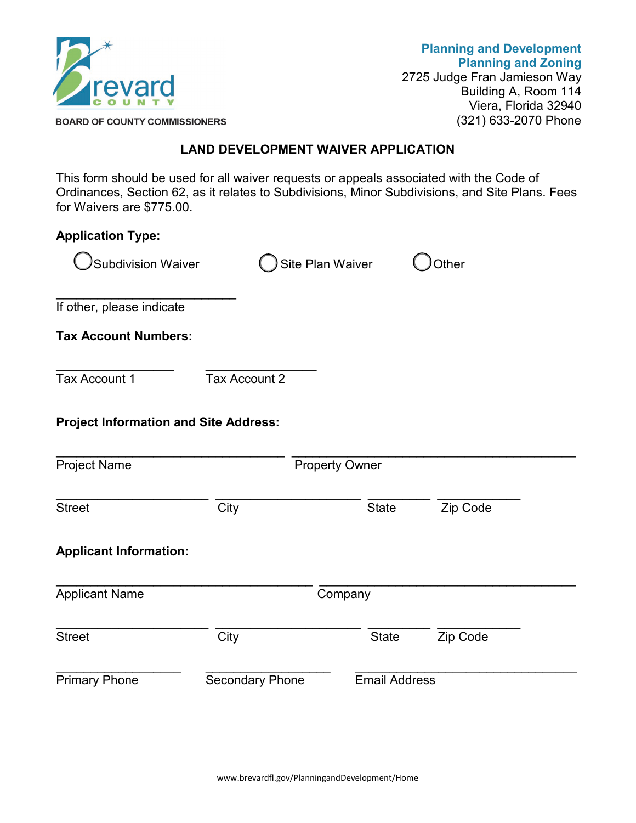

**Planning and Development Planning and Zoning** 2725 Judge Fran Jamieson Way Building A, Room 114 Viera, Florida 32940 (321) 633-2070 Phone

**BOARD OF COUNTY COMMISSIONERS** 

## **LAND DEVELOPMENT WAIVER APPLICATION**

This form should be used for all waiver requests or appeals associated with the Code of Ordinances, Section 62, as it relates to Subdivisions, Minor Subdivisions, and Site Plans. Fees for Waivers are \$775.00.

| <b>Application Type:</b>                     |                        |                       |                      |              |  |
|----------------------------------------------|------------------------|-----------------------|----------------------|--------------|--|
| <b>Subdivision Waiver</b>                    |                        | Site Plan Waiver      |                      | <b>Other</b> |  |
| If other, please indicate                    |                        |                       |                      |              |  |
| <b>Tax Account Numbers:</b>                  |                        |                       |                      |              |  |
| Tax Account 1                                | Tax Account 2          |                       |                      |              |  |
| <b>Project Information and Site Address:</b> |                        |                       |                      |              |  |
| <b>Project Name</b>                          |                        | <b>Property Owner</b> |                      |              |  |
| <b>Street</b>                                | City                   |                       | <b>State</b>         | Zip Code     |  |
| <b>Applicant Information:</b>                |                        |                       |                      |              |  |
| <b>Applicant Name</b>                        | Company                |                       |                      |              |  |
| <b>Street</b>                                | City                   |                       | <b>State</b>         | Zip Code     |  |
| <b>Primary Phone</b>                         | <b>Secondary Phone</b> |                       | <b>Email Address</b> |              |  |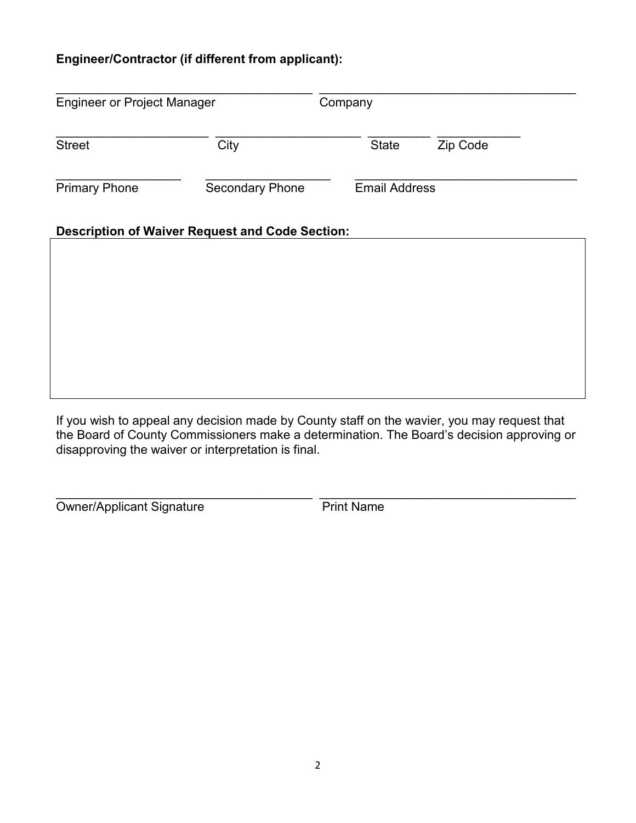## **Engineer/Contractor (if different from applicant):**

| <b>Engineer or Project Manager</b> |                                                        | Company              |          |  |  |
|------------------------------------|--------------------------------------------------------|----------------------|----------|--|--|
| <b>Street</b>                      | City                                                   | <b>State</b>         | Zip Code |  |  |
| <b>Primary Phone</b>               | <b>Secondary Phone</b>                                 | <b>Email Address</b> |          |  |  |
|                                    | <b>Description of Waiver Request and Code Section:</b> |                      |          |  |  |
|                                    |                                                        |                      |          |  |  |
|                                    |                                                        |                      |          |  |  |
|                                    |                                                        |                      |          |  |  |

If you wish to appeal any decision made by County staff on the wavier, you may request that the Board of County Commissioners make a determination. The Board's decision approving or disapproving the waiver or interpretation is final.

\_\_\_\_\_\_\_\_\_\_\_\_\_\_\_\_\_\_\_\_\_\_\_\_\_\_\_\_\_\_\_\_\_\_\_\_\_ \_\_\_\_\_\_\_\_\_\_\_\_\_\_\_\_\_\_\_\_\_\_\_\_\_\_\_\_\_\_\_\_\_\_\_\_\_

Owner/Applicant Signature Print Name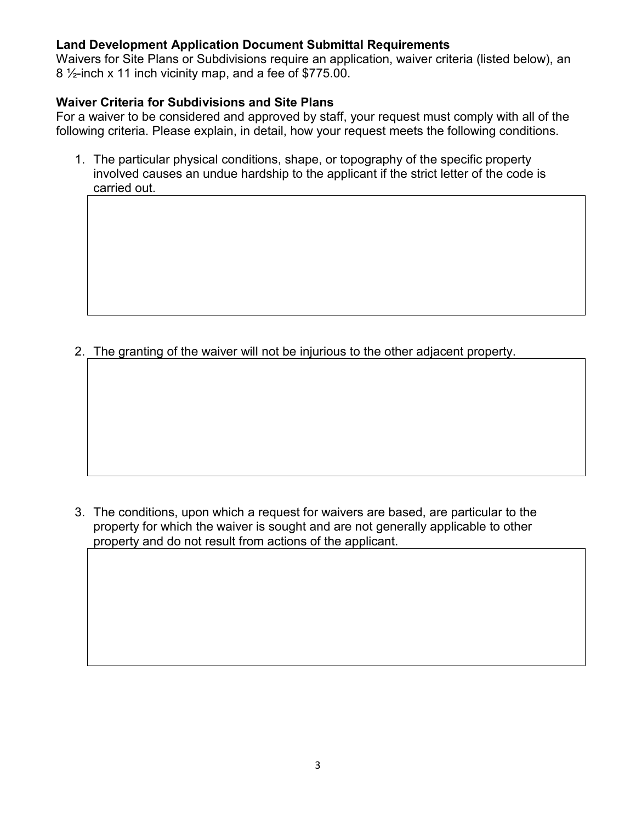## **Land Development Application Document Submittal Requirements**

Waivers for Site Plans or Subdivisions require an application, waiver criteria (listed below), an  $8\frac{1}{2}$ -inch x 11 inch vicinity map, and a fee of \$775.00.

## **Waiver Criteria for Subdivisions and Site Plans**

For a waiver to be considered and approved by staff, your request must comply with all of the following criteria. Please explain, in detail, how your request meets the following conditions.

1. The particular physical conditions, shape, or topography of the specific property involved causes an undue hardship to the applicant if the strict letter of the code is carried out.

2. The granting of the waiver will not be injurious to the other adjacent property.

3. The conditions, upon which a request for waivers are based, are particular to the property for which the waiver is sought and are not generally applicable to other property and do not result from actions of the applicant.